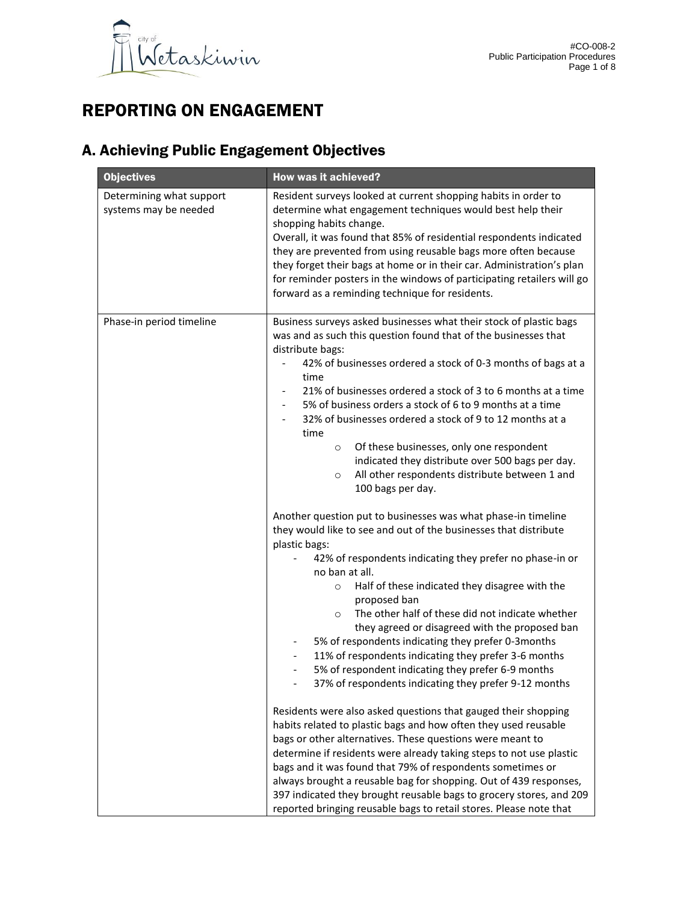

# REPORTING ON ENGAGEMENT

# A. Achieving Public Engagement Objectives

| <b>Objectives</b>                                 | <b>How was it achieved?</b>                                                                                                                                                                                                                                                                                                                                                                                                                                                                                                                                                                                                                                                             |
|---------------------------------------------------|-----------------------------------------------------------------------------------------------------------------------------------------------------------------------------------------------------------------------------------------------------------------------------------------------------------------------------------------------------------------------------------------------------------------------------------------------------------------------------------------------------------------------------------------------------------------------------------------------------------------------------------------------------------------------------------------|
| Determining what support<br>systems may be needed | Resident surveys looked at current shopping habits in order to<br>determine what engagement techniques would best help their<br>shopping habits change.<br>Overall, it was found that 85% of residential respondents indicated<br>they are prevented from using reusable bags more often because<br>they forget their bags at home or in their car. Administration's plan<br>for reminder posters in the windows of participating retailers will go<br>forward as a reminding technique for residents.                                                                                                                                                                                  |
| Phase-in period timeline                          | Business surveys asked businesses what their stock of plastic bags<br>was and as such this question found that of the businesses that<br>distribute bags:<br>42% of businesses ordered a stock of 0-3 months of bags at a<br>time<br>21% of businesses ordered a stock of 3 to 6 months at a time<br>5% of business orders a stock of 6 to 9 months at a time<br>32% of businesses ordered a stock of 9 to 12 months at a<br>time<br>Of these businesses, only one respondent<br>$\circ$<br>indicated they distribute over 500 bags per day.<br>All other respondents distribute between 1 and<br>$\circ$<br>100 bags per day.                                                          |
|                                                   | Another question put to businesses was what phase-in timeline<br>they would like to see and out of the businesses that distribute<br>plastic bags:<br>42% of respondents indicating they prefer no phase-in or<br>no ban at all.<br>Half of these indicated they disagree with the<br>$\circ$<br>proposed ban<br>The other half of these did not indicate whether<br>$\circ$<br>they agreed or disagreed with the proposed ban<br>5% of respondents indicating they prefer 0-3months<br>11% of respondents indicating they prefer 3-6 months<br>5% of respondent indicating they prefer 6-9 months<br>$\overline{\phantom{a}}$<br>37% of respondents indicating they prefer 9-12 months |
|                                                   | Residents were also asked questions that gauged their shopping<br>habits related to plastic bags and how often they used reusable<br>bags or other alternatives. These questions were meant to<br>determine if residents were already taking steps to not use plastic<br>bags and it was found that 79% of respondents sometimes or<br>always brought a reusable bag for shopping. Out of 439 responses,<br>397 indicated they brought reusable bags to grocery stores, and 209<br>reported bringing reusable bags to retail stores. Please note that                                                                                                                                   |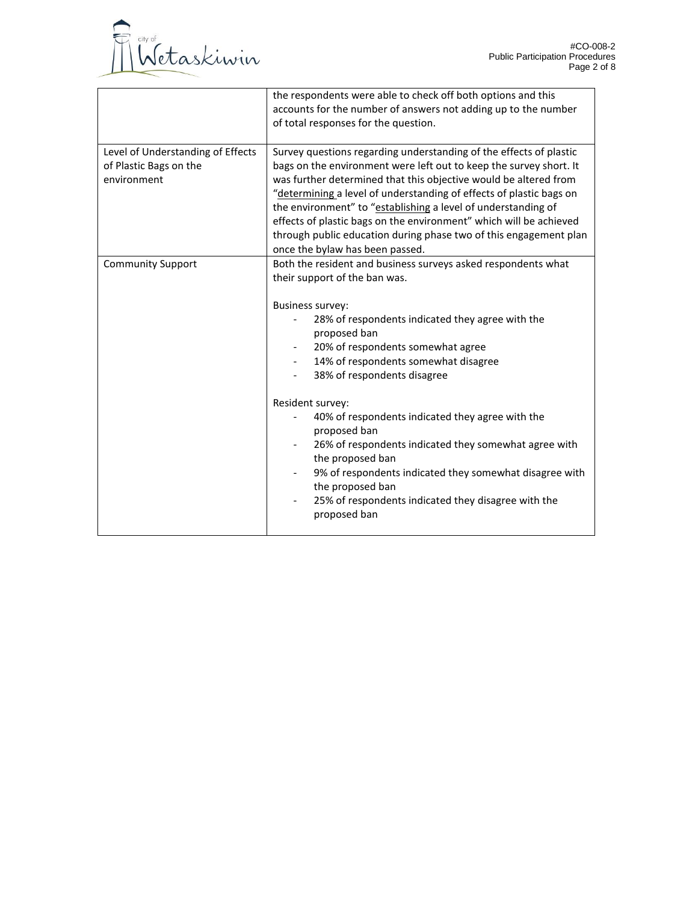

|                                                                            | the respondents were able to check off both options and this<br>accounts for the number of answers not adding up to the number<br>of total responses for the question.                                                                                                                                                                                                                                                                                                                                                                                                                                                                                           |
|----------------------------------------------------------------------------|------------------------------------------------------------------------------------------------------------------------------------------------------------------------------------------------------------------------------------------------------------------------------------------------------------------------------------------------------------------------------------------------------------------------------------------------------------------------------------------------------------------------------------------------------------------------------------------------------------------------------------------------------------------|
| Level of Understanding of Effects<br>of Plastic Bags on the<br>environment | Survey questions regarding understanding of the effects of plastic<br>bags on the environment were left out to keep the survey short. It<br>was further determined that this objective would be altered from<br>"determining a level of understanding of effects of plastic bags on<br>the environment" to "establishing a level of understanding of<br>effects of plastic bags on the environment" which will be achieved<br>through public education during phase two of this engagement plan<br>once the bylaw has been passed.                                                                                                                               |
| <b>Community Support</b>                                                   | Both the resident and business surveys asked respondents what<br>their support of the ban was.<br><b>Business survey:</b><br>28% of respondents indicated they agree with the<br>proposed ban<br>20% of respondents somewhat agree<br>14% of respondents somewhat disagree<br>$\overline{\phantom{0}}$<br>38% of respondents disagree<br>Resident survey:<br>40% of respondents indicated they agree with the<br>proposed ban<br>26% of respondents indicated they somewhat agree with<br>the proposed ban<br>9% of respondents indicated they somewhat disagree with<br>the proposed ban<br>25% of respondents indicated they disagree with the<br>proposed ban |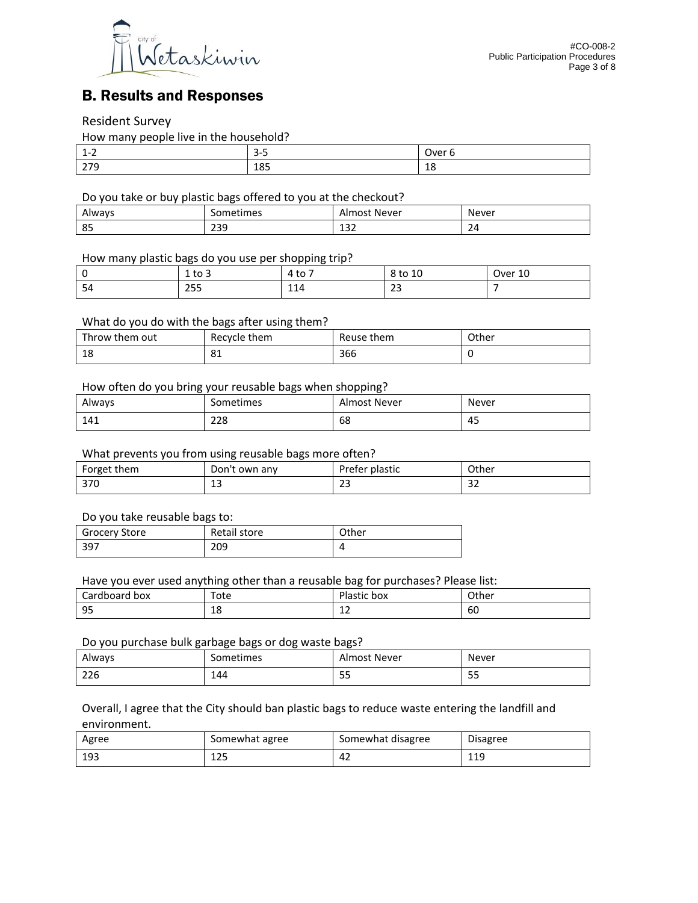

# B. Results and Responses

### Resident Survey

How many people live in the household?

| л<br>. –<br>$ -$               | --<br>ັ<br>- | Jver                  |
|--------------------------------|--------------|-----------------------|
| $\sim$ $\sim$ $\sim$<br>ـ ا ـا | 185          | $\overline{ }$<br>-10 |

Do you take or buy plastic bags offered to you at the checkout?

| Always | .722<br>umes:<br>__ | Never<br>$-$<br>____    | Never<br>____ |
|--------|---------------------|-------------------------|---------------|
| 85     | ววด<br>درے          | $\mathbf{\hat{}}$<br>ᅩJ | -4            |

#### How many plastic bags do you use per shopping trip?

|    | ÷۵<br>⊥ ເບ ບ | -<br>$+ \circ$<br>ιυ<br>. . | 8 to 10      | $\Delta$<br>Over<br>τn |
|----|--------------|-----------------------------|--------------|------------------------|
| 54 | つちち<br>ررے   | $-11$<br>114                | $\sim$<br>دے |                        |

#### What do you do with the bags after using them?

| Throw them out | Recycle them | Reuse them | Other |
|----------------|--------------|------------|-------|
| 1 O<br>ŦΟ      | n,<br>ပ⊥     | 366        |       |

#### How often do you bring your reusable bags when shopping?

| . .<br>Always | Sometimes | Almost Never | Never |
|---------------|-----------|--------------|-------|
| 141           | 228       | 68           | 45    |

### What prevents you from using reusable bags more often?

| Forget them | Don't own any | Prefer plastic | Other |
|-------------|---------------|----------------|-------|
| 370         | $\sim$        | $\sim$         | ~~    |
|             | ᅩ             |                | ےر    |

#### Do you take reusable bags to:

| <b>Grocery Store</b> | Retail store | Other |
|----------------------|--------------|-------|
| 397                  | 209          |       |

Have you ever used anything other than a reusable bag for purchases? Please list:

| ∽<br>$-$<br>box<br>DOdi<br>я<br>--<br>___ | ™ote<br>- - - | DΙ<br>box<br>----<br>™iastic<br>___ | Other<br>___ |
|-------------------------------------------|---------------|-------------------------------------|--------------|
| QF<br>-                                   | c<br>ΤO       | $\sim$<br>ᆠ                         | - -<br>ы     |

#### Do you purchase bulk garbage bags or dog waste bags?

| Always    | iometimes | . Never<br>Imost<br>−… | Never<br>____ |
|-----------|-----------|------------------------|---------------|
| 22<br>220 | 144       | --<br>ں ب              | --<br>--      |

Overall, I agree that the City should ban plastic bags to reduce waste entering the landfill and environment.

| Agree | Somewhat agree | Somewhat disagree | <b>Disagree</b> |
|-------|----------------|-------------------|-----------------|
| 193   | วย<br>⊥∠⊃      | 44                | .11<br>ᆂᆂ       |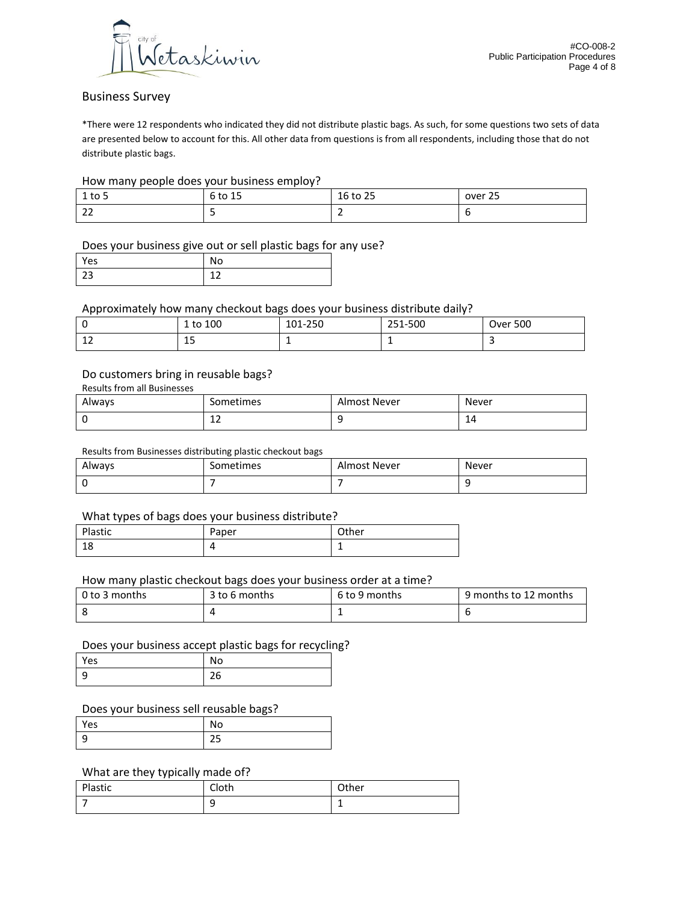

## Business Survey

\*There were 12 respondents who indicated they did not distribute plastic bags. As such, for some questions two sets of data are presented below to account for this. All other data from questions is from all respondents, including those that do not distribute plastic bags.

#### How many people does your business employ?

| $1$ to 5                           | 6 to 15 | 16 to 25 | over 25 |
|------------------------------------|---------|----------|---------|
| $\sim$<br>$\overline{\phantom{a}}$ |         | -        |         |

### Does your business give out or sell plastic bags for any use?

| res | No |
|-----|----|
| 23  |    |

Approximately how many checkout bags does your business distribute daily?

|              | 1 to 100  | $\sim$ $\sim$ $\sim$<br>$\sim$<br>101-250 | 251-500 | <b>Over 500</b> |
|--------------|-----------|-------------------------------------------|---------|-----------------|
| $\sim$<br>-- | . .<br>سە |                                           | -       |                 |

#### Do customers bring in reusable bags?

| Always | Sometimes    | Almost Never | Never |
|--------|--------------|--------------|-------|
|        | $\sim$<br>ᅩᄼ |              | 14    |

#### Results from Businesses distributing plastic checkout bags

| Always | $\cdot$ .<br>Sometimes | Almost Never | Never |
|--------|------------------------|--------------|-------|
|        |                        |              |       |

#### What types of bags does your business distribute?

| Plastic  | Paper | Other |
|----------|-------|-------|
| 10<br>⊥ບ | 4     | -     |

#### How many plastic checkout bags does your business order at a time?

| l 0 to 3 months | 3 to 6 months | 6 to 9 months | 9 months to 12 months |
|-----------------|---------------|---------------|-----------------------|
|                 |               | -             |                       |

#### Does your business accept plastic bags for recycling?

| Yes | No |
|-----|----|
|     | 2C |

#### Does your business sell reusable bags?

| 'es | טויו |
|-----|------|
| -   | --   |

#### What are they typically made of?

| Plastic | Cloth  | Other |
|---------|--------|-------|
|         | Ω<br>پ |       |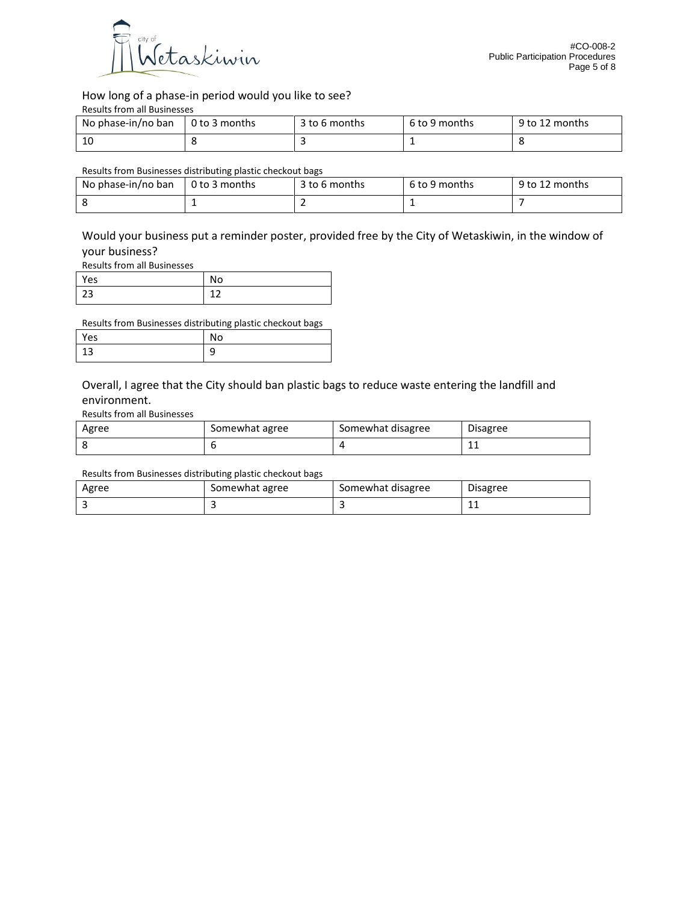

How long of a phase-in period would you like to see?

| <b>Results from all Businesses</b> |  |
|------------------------------------|--|
|------------------------------------|--|

| No phase-in/no ban | 0 to 3 months | 3 to 6 months | 6 to 9 months | 9 to 12 months |
|--------------------|---------------|---------------|---------------|----------------|
| 10                 |               |               |               |                |

#### Results from Businesses distributing plastic checkout bags

| No phase-in/no ban | 0 to 3 months | 3 to 6 months | 6 to 9 months | 9 to 12 months |
|--------------------|---------------|---------------|---------------|----------------|
|                    |               |               |               |                |

Would your business put a reminder poster, provided free by the City of Wetaskiwin, in the window of your business?

Results from all Businesses

| Yes |  |
|-----|--|
|     |  |

Results from Businesses distributing plastic checkout bags

| 'es | . JU . |
|-----|--------|
|     | ٮ      |

Overall, I agree that the City should ban plastic bags to reduce waste entering the landfill and environment.

Results from all Businesses

| Agree | Somewhat agree | Somewhat disagree | <b>Disagree</b> |
|-------|----------------|-------------------|-----------------|
|       |                |                   | --              |

Results from Businesses distributing plastic checkout bags

| Agree | Somewhat agree | Somewhat disagree | <b>Disagree</b> |
|-------|----------------|-------------------|-----------------|
|       |                |                   | <b>. .</b>      |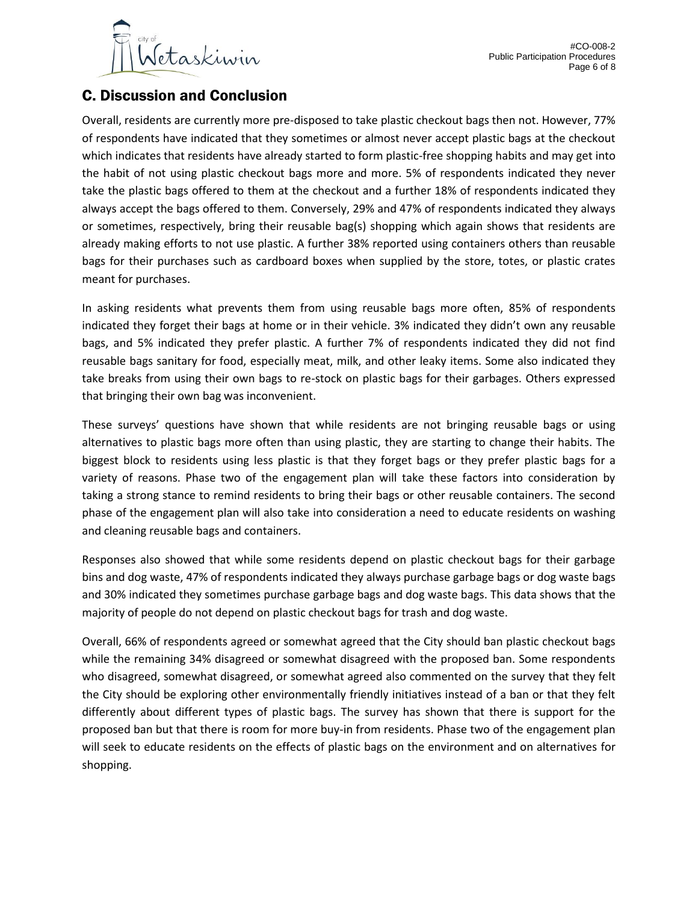

# C. Discussion and Conclusion

Overall, residents are currently more pre-disposed to take plastic checkout bags then not. However, 77% of respondents have indicated that they sometimes or almost never accept plastic bags at the checkout which indicates that residents have already started to form plastic-free shopping habits and may get into the habit of not using plastic checkout bags more and more. 5% of respondents indicated they never take the plastic bags offered to them at the checkout and a further 18% of respondents indicated they always accept the bags offered to them. Conversely, 29% and 47% of respondents indicated they always or sometimes, respectively, bring their reusable bag(s) shopping which again shows that residents are already making efforts to not use plastic. A further 38% reported using containers others than reusable bags for their purchases such as cardboard boxes when supplied by the store, totes, or plastic crates meant for purchases.

In asking residents what prevents them from using reusable bags more often, 85% of respondents indicated they forget their bags at home or in their vehicle. 3% indicated they didn't own any reusable bags, and 5% indicated they prefer plastic. A further 7% of respondents indicated they did not find reusable bags sanitary for food, especially meat, milk, and other leaky items. Some also indicated they take breaks from using their own bags to re-stock on plastic bags for their garbages. Others expressed that bringing their own bag was inconvenient.

These surveys' questions have shown that while residents are not bringing reusable bags or using alternatives to plastic bags more often than using plastic, they are starting to change their habits. The biggest block to residents using less plastic is that they forget bags or they prefer plastic bags for a variety of reasons. Phase two of the engagement plan will take these factors into consideration by taking a strong stance to remind residents to bring their bags or other reusable containers. The second phase of the engagement plan will also take into consideration a need to educate residents on washing and cleaning reusable bags and containers.

Responses also showed that while some residents depend on plastic checkout bags for their garbage bins and dog waste, 47% of respondents indicated they always purchase garbage bags or dog waste bags and 30% indicated they sometimes purchase garbage bags and dog waste bags. This data shows that the majority of people do not depend on plastic checkout bags for trash and dog waste.

Overall, 66% of respondents agreed or somewhat agreed that the City should ban plastic checkout bags while the remaining 34% disagreed or somewhat disagreed with the proposed ban. Some respondents who disagreed, somewhat disagreed, or somewhat agreed also commented on the survey that they felt the City should be exploring other environmentally friendly initiatives instead of a ban or that they felt differently about different types of plastic bags. The survey has shown that there is support for the proposed ban but that there is room for more buy-in from residents. Phase two of the engagement plan will seek to educate residents on the effects of plastic bags on the environment and on alternatives for shopping.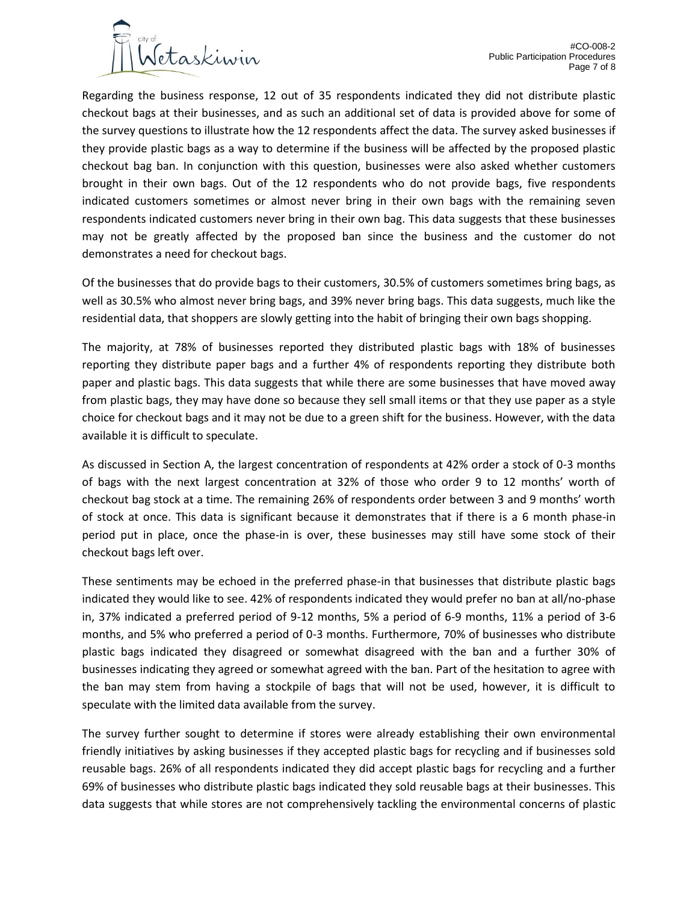

Regarding the business response, 12 out of 35 respondents indicated they did not distribute plastic checkout bags at their businesses, and as such an additional set of data is provided above for some of the survey questions to illustrate how the 12 respondents affect the data. The survey asked businesses if they provide plastic bags as a way to determine if the business will be affected by the proposed plastic checkout bag ban. In conjunction with this question, businesses were also asked whether customers brought in their own bags. Out of the 12 respondents who do not provide bags, five respondents indicated customers sometimes or almost never bring in their own bags with the remaining seven respondents indicated customers never bring in their own bag. This data suggests that these businesses may not be greatly affected by the proposed ban since the business and the customer do not demonstrates a need for checkout bags.

Of the businesses that do provide bags to their customers, 30.5% of customers sometimes bring bags, as well as 30.5% who almost never bring bags, and 39% never bring bags. This data suggests, much like the residential data, that shoppers are slowly getting into the habit of bringing their own bags shopping.

The majority, at 78% of businesses reported they distributed plastic bags with 18% of businesses reporting they distribute paper bags and a further 4% of respondents reporting they distribute both paper and plastic bags. This data suggests that while there are some businesses that have moved away from plastic bags, they may have done so because they sell small items or that they use paper as a style choice for checkout bags and it may not be due to a green shift for the business. However, with the data available it is difficult to speculate.

As discussed in Section A, the largest concentration of respondents at 42% order a stock of 0-3 months of bags with the next largest concentration at 32% of those who order 9 to 12 months' worth of checkout bag stock at a time. The remaining 26% of respondents order between 3 and 9 months' worth of stock at once. This data is significant because it demonstrates that if there is a 6 month phase-in period put in place, once the phase-in is over, these businesses may still have some stock of their checkout bags left over.

These sentiments may be echoed in the preferred phase-in that businesses that distribute plastic bags indicated they would like to see. 42% of respondents indicated they would prefer no ban at all/no-phase in, 37% indicated a preferred period of 9-12 months, 5% a period of 6-9 months, 11% a period of 3-6 months, and 5% who preferred a period of 0-3 months. Furthermore, 70% of businesses who distribute plastic bags indicated they disagreed or somewhat disagreed with the ban and a further 30% of businesses indicating they agreed or somewhat agreed with the ban. Part of the hesitation to agree with the ban may stem from having a stockpile of bags that will not be used, however, it is difficult to speculate with the limited data available from the survey.

The survey further sought to determine if stores were already establishing their own environmental friendly initiatives by asking businesses if they accepted plastic bags for recycling and if businesses sold reusable bags. 26% of all respondents indicated they did accept plastic bags for recycling and a further 69% of businesses who distribute plastic bags indicated they sold reusable bags at their businesses. This data suggests that while stores are not comprehensively tackling the environmental concerns of plastic